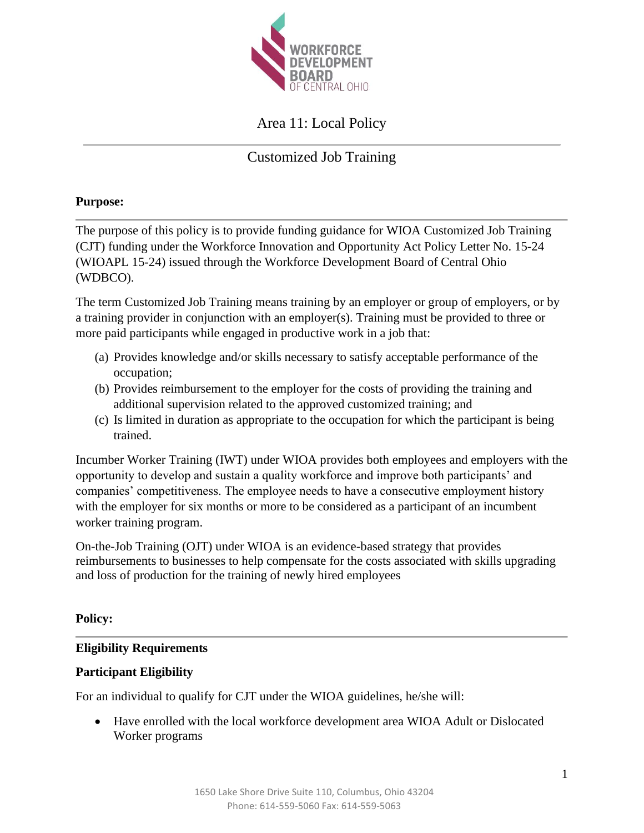

# Area 11: Local Policy

# Customized Job Training

#### **Purpose:**

The purpose of this policy is to provide funding guidance for WIOA Customized Job Training (CJT) funding under the Workforce Innovation and Opportunity Act Policy Letter No. 15-24 (WIOAPL 15-24) issued through the Workforce Development Board of Central Ohio (WDBCO).

The term Customized Job Training means training by an employer or group of employers, or by a training provider in conjunction with an employer(s). Training must be provided to three or more paid participants while engaged in productive work in a job that:

- (a) Provides knowledge and/or skills necessary to satisfy acceptable performance of the occupation;
- (b) Provides reimbursement to the employer for the costs of providing the training and additional supervision related to the approved customized training; and
- (c) Is limited in duration as appropriate to the occupation for which the participant is being trained.

Incumber Worker Training (IWT) under WIOA provides both employees and employers with the opportunity to develop and sustain a quality workforce and improve both participants' and companies' competitiveness. The employee needs to have a consecutive employment history with the employer for six months or more to be considered as a participant of an incumbent worker training program.

On-the-Job Training (OJT) under WIOA is an evidence-based strategy that provides reimbursements to businesses to help compensate for the costs associated with skills upgrading and loss of production for the training of newly hired employees

## **Policy:**

#### **Eligibility Requirements**

## **Participant Eligibility**

For an individual to qualify for CJT under the WIOA guidelines, he/she will:

• Have enrolled with the local workforce development area WIOA Adult or Dislocated Worker programs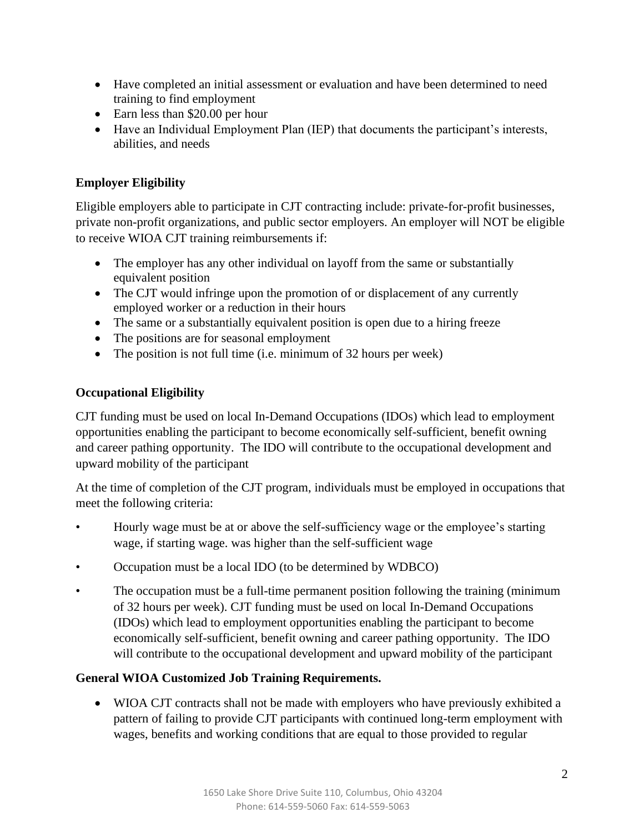- Have completed an initial assessment or evaluation and have been determined to need training to find employment
- Earn less than \$20.00 per hour
- Have an Individual Employment Plan (IEP) that documents the participant's interests, abilities, and needs

## **Employer Eligibility**

Eligible employers able to participate in CJT contracting include: private-for-profit businesses, private non-profit organizations, and public sector employers. An employer will NOT be eligible to receive WIOA CJT training reimbursements if:

- The employer has any other individual on layoff from the same or substantially equivalent position
- The CJT would infringe upon the promotion of or displacement of any currently employed worker or a reduction in their hours
- The same or a substantially equivalent position is open due to a hiring freeze
- The positions are for seasonal employment
- The position is not full time (i.e. minimum of 32 hours per week)

#### **Occupational Eligibility**

CJT funding must be used on local In-Demand Occupations (IDOs) which lead to employment opportunities enabling the participant to become economically self-sufficient, benefit owning and career pathing opportunity. The IDO will contribute to the occupational development and upward mobility of the participant

At the time of completion of the CJT program, individuals must be employed in occupations that meet the following criteria:

- Hourly wage must be at or above the self-sufficiency wage or the employee's starting wage, if starting wage. was higher than the self-sufficient wage
- Occupation must be a local IDO (to be determined by WDBCO)
- The occupation must be a full-time permanent position following the training (minimum of 32 hours per week). CJT funding must be used on local In-Demand Occupations (IDOs) which lead to employment opportunities enabling the participant to become economically self-sufficient, benefit owning and career pathing opportunity. The IDO will contribute to the occupational development and upward mobility of the participant

#### **General WIOA Customized Job Training Requirements.**

• WIOA CJT contracts shall not be made with employers who have previously exhibited a pattern of failing to provide CJT participants with continued long-term employment with wages, benefits and working conditions that are equal to those provided to regular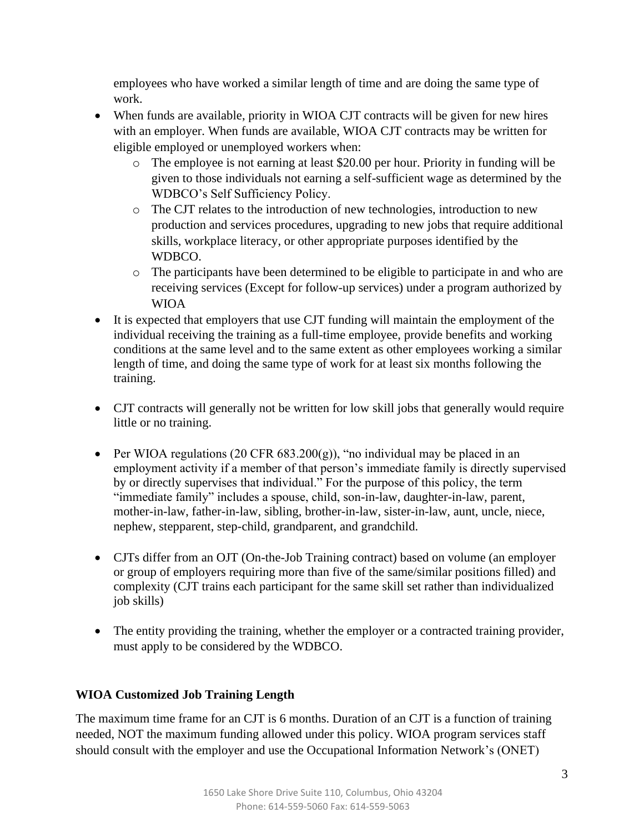employees who have worked a similar length of time and are doing the same type of work.

- When funds are available, priority in WIOA CJT contracts will be given for new hires with an employer. When funds are available, WIOA CJT contracts may be written for eligible employed or unemployed workers when:
	- o The employee is not earning at least \$20.00 per hour. Priority in funding will be given to those individuals not earning a self-sufficient wage as determined by the WDBCO's Self Sufficiency Policy.
	- o The CJT relates to the introduction of new technologies, introduction to new production and services procedures, upgrading to new jobs that require additional skills, workplace literacy, or other appropriate purposes identified by the WDBCO.
	- o The participants have been determined to be eligible to participate in and who are receiving services (Except for follow-up services) under a program authorized by WIOA
- It is expected that employers that use CJT funding will maintain the employment of the individual receiving the training as a full-time employee, provide benefits and working conditions at the same level and to the same extent as other employees working a similar length of time, and doing the same type of work for at least six months following the training.
- CJT contracts will generally not be written for low skill jobs that generally would require little or no training.
- Per WIOA regulations (20 CFR 683.200(g)), "no individual may be placed in an employment activity if a member of that person's immediate family is directly supervised by or directly supervises that individual." For the purpose of this policy, the term "immediate family" includes a spouse, child, son-in-law, daughter-in-law, parent, mother-in-law, father-in-law, sibling, brother-in-law, sister-in-law, aunt, uncle, niece, nephew, stepparent, step-child, grandparent, and grandchild.
- CJTs differ from an OJT (On-the-Job Training contract) based on volume (an employer or group of employers requiring more than five of the same/similar positions filled) and complexity (CJT trains each participant for the same skill set rather than individualized job skills)
- The entity providing the training, whether the employer or a contracted training provider, must apply to be considered by the WDBCO.

# **WIOA Customized Job Training Length**

The maximum time frame for an CJT is 6 months. Duration of an CJT is a function of training needed, NOT the maximum funding allowed under this policy. WIOA program services staff should consult with the employer and use the Occupational Information Network's (ONET)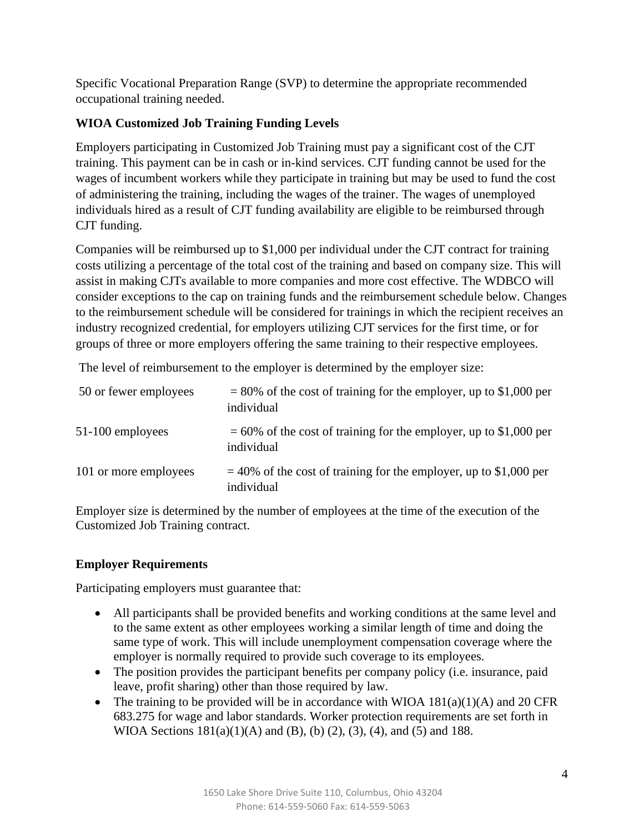Specific Vocational Preparation Range (SVP) to determine the appropriate recommended occupational training needed.

# **WIOA Customized Job Training Funding Levels**

Employers participating in Customized Job Training must pay a significant cost of the CJT training. This payment can be in cash or in-kind services. CJT funding cannot be used for the wages of incumbent workers while they participate in training but may be used to fund the cost of administering the training, including the wages of the trainer. The wages of unemployed individuals hired as a result of CJT funding availability are eligible to be reimbursed through CJT funding.

Companies will be reimbursed up to \$1,000 per individual under the CJT contract for training costs utilizing a percentage of the total cost of the training and based on company size. This will assist in making CJTs available to more companies and more cost effective. The WDBCO will consider exceptions to the cap on training funds and the reimbursement schedule below. Changes to the reimbursement schedule will be considered for trainings in which the recipient receives an industry recognized credential, for employers utilizing CJT services for the first time, or for groups of three or more employers offering the same training to their respective employees.

The level of reimbursement to the employer is determined by the employer size:

| 50 or fewer employees | $= 80\%$ of the cost of training for the employer, up to \$1,000 per<br>individual |
|-----------------------|------------------------------------------------------------------------------------|
| 51-100 employees      | $= 60\%$ of the cost of training for the employer, up to \$1,000 per<br>individual |
| 101 or more employees | $=$ 40% of the cost of training for the employer, up to \$1,000 per<br>individual  |

Employer size is determined by the number of employees at the time of the execution of the Customized Job Training contract.

## **Employer Requirements**

Participating employers must guarantee that:

- All participants shall be provided benefits and working conditions at the same level and to the same extent as other employees working a similar length of time and doing the same type of work. This will include unemployment compensation coverage where the employer is normally required to provide such coverage to its employees.
- The position provides the participant benefits per company policy (i.e. insurance, paid leave, profit sharing) other than those required by law.
- The training to be provided will be in accordance with WIOA  $181(a)(1)(A)$  and 20 CFR 683.275 for wage and labor standards. Worker protection requirements are set forth in WIOA Sections 181(a)(1)(A) and (B), (b) (2), (3), (4), and (5) and 188.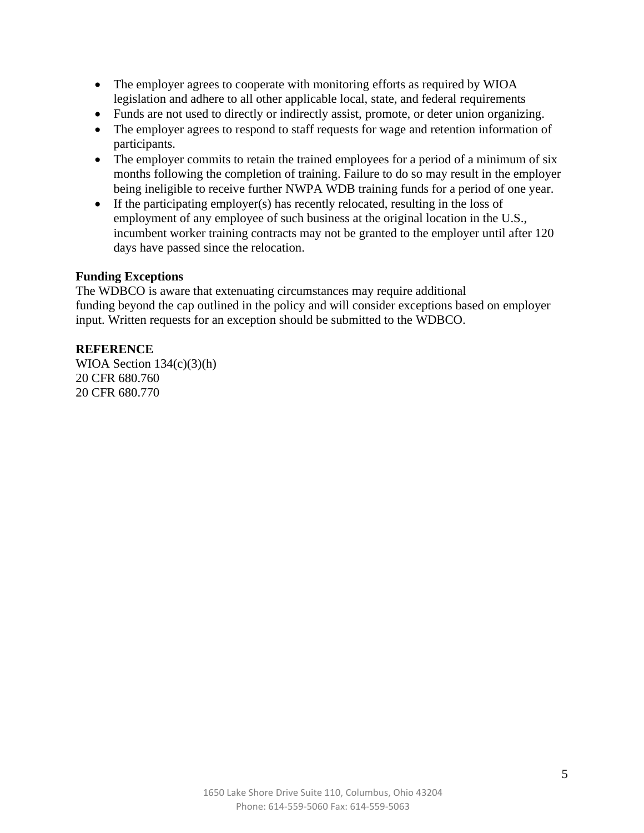- The employer agrees to cooperate with monitoring efforts as required by WIOA legislation and adhere to all other applicable local, state, and federal requirements
- Funds are not used to directly or indirectly assist, promote, or deter union organizing.
- The employer agrees to respond to staff requests for wage and retention information of participants.
- The employer commits to retain the trained employees for a period of a minimum of six months following the completion of training. Failure to do so may result in the employer being ineligible to receive further NWPA WDB training funds for a period of one year.
- If the participating employer(s) has recently relocated, resulting in the loss of employment of any employee of such business at the original location in the U.S., incumbent worker training contracts may not be granted to the employer until after 120 days have passed since the relocation.

#### **Funding Exceptions**

The WDBCO is aware that extenuating circumstances may require additional funding beyond the cap outlined in the policy and will consider exceptions based on employer input. Written requests for an exception should be submitted to the WDBCO.

#### **REFERENCE**

WIOA Section  $134(c)(3)(h)$ 20 CFR 680.760 20 CFR 680.770